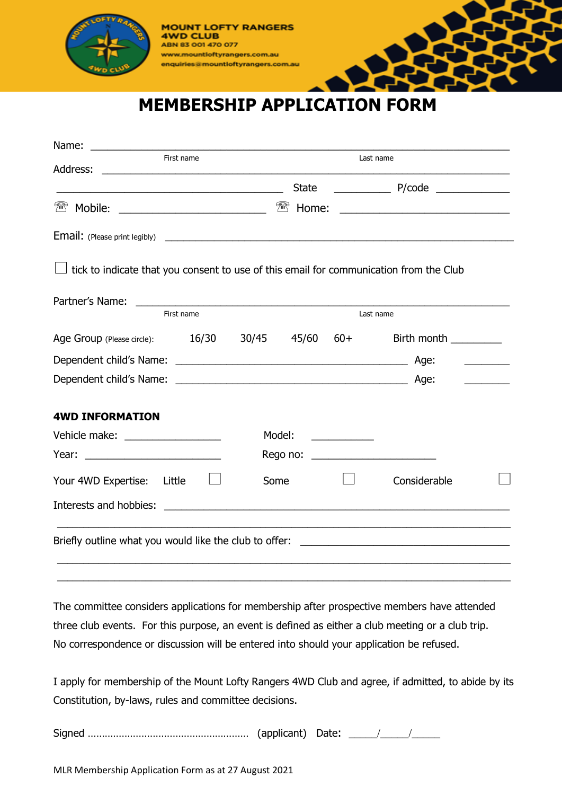

**MOUNT LOFTY RANGERS 4WD CLUB** ABN 83 001 470 077 www.mountloftyrangers.com.au enquiries@mountloftyrangers.com.au

## **MEMBERSHIP APPLICATION FORM**

| Name:                                                                                                                  |                 |                                                                                                                      |                                     |  |
|------------------------------------------------------------------------------------------------------------------------|-----------------|----------------------------------------------------------------------------------------------------------------------|-------------------------------------|--|
| First name<br>Address:                                                                                                 |                 | Last name                                                                                                            |                                     |  |
| <u> 1989 - Johann Stoff, deutscher Stoffen und der Stoffen und der Stoffen und der Stoffen und der Stoffen und der</u> | <b>State</b>    |                                                                                                                      |                                     |  |
| ₩<br>Mobile:                                                                                                           | ₩<br>Home:      |                                                                                                                      |                                     |  |
|                                                                                                                        |                 |                                                                                                                      |                                     |  |
| tick to indicate that you consent to use of this email for communication from the Club                                 |                 |                                                                                                                      |                                     |  |
| Partner's Name:<br>First name                                                                                          |                 | Last name                                                                                                            |                                     |  |
|                                                                                                                        |                 |                                                                                                                      |                                     |  |
| Age Group (Please circle): 16/30                                                                                       | 30/45 45/60 60+ | Birth month                                                                                                          |                                     |  |
|                                                                                                                        |                 |                                                                                                                      | <u> De Carlos de Carlos de la p</u> |  |
|                                                                                                                        |                 |                                                                                                                      |                                     |  |
| <b>4WD INFORMATION</b>                                                                                                 |                 |                                                                                                                      |                                     |  |
| Vehicle make: ___________________                                                                                      | Model:          | <u> 1990 - Jan Jawa Barat, prima prima prima prima prima prima prima prima prima prima prima prima prima prima p</u> |                                     |  |
|                                                                                                                        |                 | Rego no: __________________________                                                                                  |                                     |  |
| Your 4WD Expertise:<br>Little                                                                                          | Some            | Considerable                                                                                                         |                                     |  |
| Interests and hobbies:                                                                                                 |                 |                                                                                                                      |                                     |  |
| Briefly outline what you would like the club to offer: __________________________                                      |                 |                                                                                                                      |                                     |  |
|                                                                                                                        |                 |                                                                                                                      |                                     |  |

The committee considers applications for membership after prospective members have attended three club events. For this purpose, an event is defined as either a club meeting or a club trip. No correspondence or discussion will be entered into should your application be refused.

 $\_$  , and the set of the set of the set of the set of the set of the set of the set of the set of the set of the set of the set of the set of the set of the set of the set of the set of the set of the set of the set of th

I apply for membership of the Mount Lofty Rangers 4WD Club and agree, if admitted, to abide by its Constitution, by-laws, rules and committee decisions.

Signed ………………………………………………… (applicant) Date: \_\_\_\_\_/\_\_\_\_\_/\_\_\_\_\_

MLR Membership Application Form as at 27 August 2021